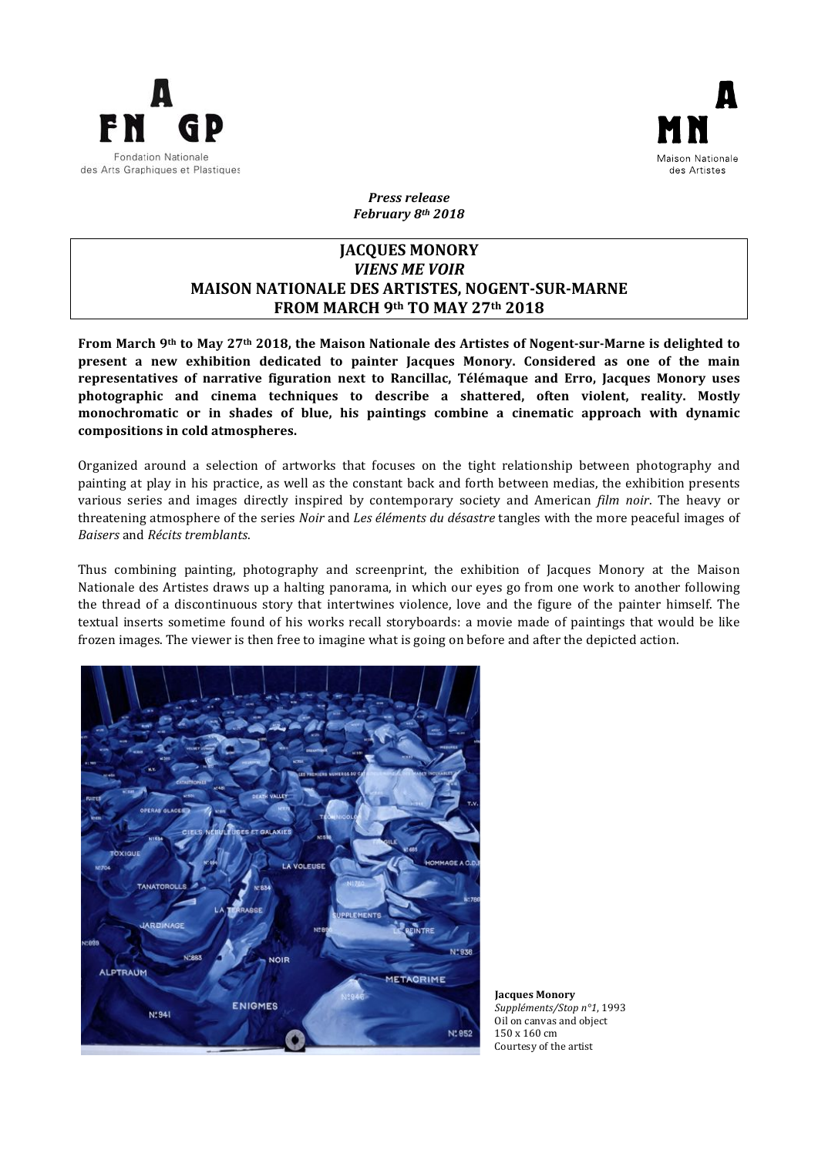



*Press release February 8th 2018*

# **JACQUES MONORY** *VIENS ME VOIR* **MAISON NATIONALE DES ARTISTES, NOGENT-SUR-MARNE FROM MARCH 9th TO MAY 27th 2018**

From March 9<sup>th</sup> to May 27<sup>th</sup> 2018, the Maison Nationale des Artistes of Nogent-sur-Marne is delighted to present a new exhibition dedicated to painter Jacques Monory. Considered as one of the main representatives of narrative figuration next to Rancillac, Télémaque and Erro, Jacques Monory uses photographic and cinema techniques to describe a shattered, often violent, reality. Mostly monochromatic or in shades of blue, his paintings combine a cinematic approach with dynamic compositions in cold atmospheres.

Organized around a selection of artworks that focuses on the tight relationship between photography and painting at play in his practice, as well as the constant back and forth between medias, the exhibition presents various series and images directly inspired by contemporary society and American *film noir*. The heavy or threatening atmosphere of the series *Noir* and *Les éléments du désastre* tangles with the more peaceful images of *Baisers* and *Récits tremblants*. 

Thus combining painting, photography and screenprint, the exhibition of Jacques Monory at the Maison Nationale des Artistes draws up a halting panorama, in which our eyes go from one work to another following the thread of a discontinuous story that intertwines violence, love and the figure of the painter himself. The textual inserts sometime found of his works recall storyboards: a movie made of paintings that would be like frozen images. The viewer is then free to imagine what is going on before and after the depicted action.



**Jacques Monory** *Suppléments/Stop n°1*, 1993 Oil on canvas and object 150 x 160 cm Courtesy of the artist